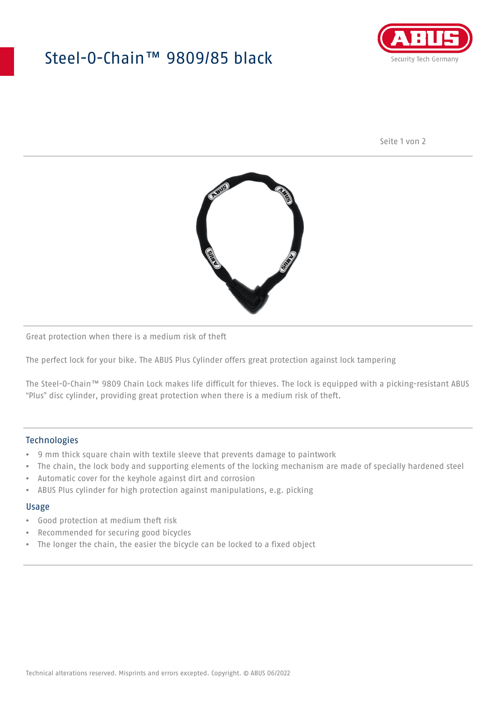## Steel-O-Chain™ 9809/85 black



Seite 1 von 2



Great protection when there is a medium risk of theft

The perfect lock for your bike. The ABUS Plus Cylinder offers great protection against lock tampering

The Steel-O-Chain™ 9809 Chain Lock makes life difficult for thieves. The lock is equipped with a picking-resistant ABUS "Plus" disc cylinder, providing great protection when there is a medium risk of theft.

#### Technologies

- 9 mm thick square chain with textile sleeve that prevents damage to paintwork
- The chain, the lock body and supporting elements of the locking mechanism are made of specially hardened steel
- Automatic cover for the keyhole against dirt and corrosion
- ABUS Plus cylinder for high protection against manipulations, e.g. picking

#### Usage

- Good protection at medium theft risk
- Recommended for securing good bicycles
- The longer the chain, the easier the bicycle can be locked to a fixed object